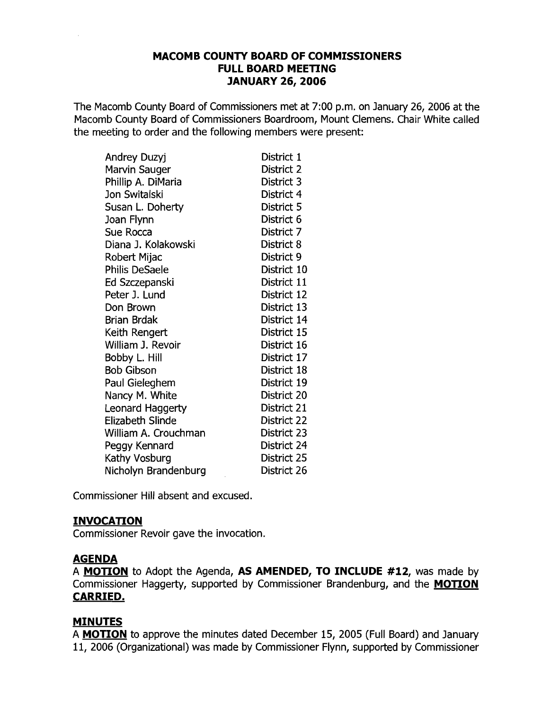### **MACOMB COUNTY BOARD OF COMMISSIONERS FULL BOARD MEETING JANUARY 26, 2006**

The Macomb County Board of Commissioners met at 7:00 p.m. on January 26, 2006 at the Macomb County Board of Commissioners Boardroom, Mount Clemens. Chair White called the meeting to order and the following members were present:

| Andrey Duzyj          | District 1  |
|-----------------------|-------------|
| Marvin Sauger         | District 2  |
| Phillip A. DiMaria    | District 3  |
| Jon Switalski         | District 4  |
| Susan L. Doherty      | District 5  |
| Joan Flynn            | District 6  |
| Sue Rocca             | District 7  |
| Diana J. Kolakowski   | District 8  |
| Robert Mijac          | District 9  |
| <b>Philis DeSaele</b> | District 10 |
| Ed Szczepanski        | District 11 |
| Peter J. Lund         | District 12 |
| Don Brown             | District 13 |
| <b>Brian Brdak</b>    | District 14 |
| Keith Rengert         | District 15 |
| William J. Revoir     | District 16 |
| Bobby L. Hill         | District 17 |
| <b>Bob Gibson</b>     | District 18 |
| Paul Gieleghem        | District 19 |
| Nancy M. White        | District 20 |
| Leonard Haggerty      | District 21 |
| Elizabeth Slinde      | District 22 |
| William A. Crouchman  | District 23 |
| Peggy Kennard         | District 24 |
| Kathy Vosburg         | District 25 |
| Nicholyn Brandenburg  | District 26 |

Commissioner Hill absent and excused.

### **INVOCATION**

Commissioner Revoir gave the invocation.

### **AGENDA**

A **MOTION** to Adopt the Agenda, **AS AMENDED, TO INCLUDE #12,** was made by Commissioner Haggerty, supported by Commissioner Brandenburg, and the **MOTION CARRIED.** 

## **MINUTES**

A **MOTION** to approve the minutes dated December 15, 2005 (Full Board) and January 11, 2006 (Organizational) was made by Commissioner Flynn, supported by Commissioner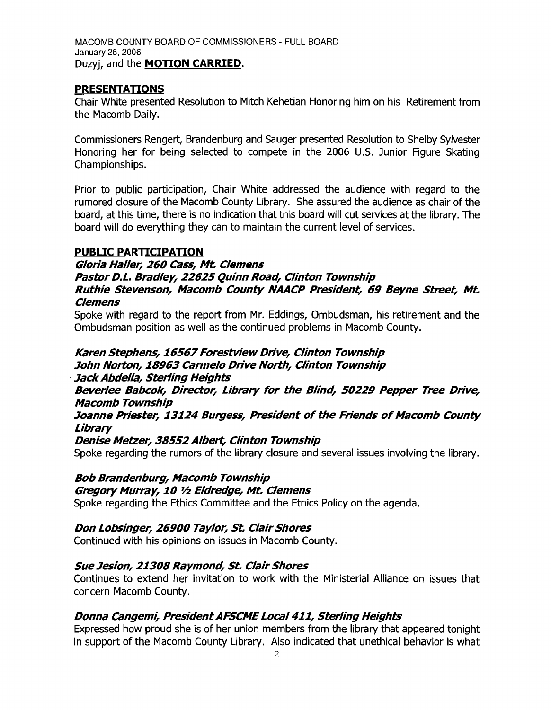MACOMB COUNTY BOARD OF COMMISSIONERS - FULL BOARD January 26, 2006 Duzyj, and the **MOTION CARRIED.** 

### **PRESENTATIONS**

Chair White presented Resolution to Mitch Kehetian Honoring him on his Retirement from the Macomb Daily.

Commissioners Rengert, Brandenburg and Sauger presented Resolution to Shelby Sylvester Honoring her for being selected to compete in the 2006 U.s. Junior Figure Skating Championships.

Prior to public participation, Chair White addressed the audience with regard to the rumored closure of the Macomb County Library. She assured the audience as chair of the board, at this time, there is no indication that this board will cut services at the library. The board will do everything they can to maintain the current level of services.

### **PUBLIC PARTICIPATION**

**Gloria Haller, 260 Cass, Mt. Clemens Pastor D.L. Bradley, 22625 Quinn Road, Clinton Township Ruthie Stevenson, Macomb County NAACP President, 69 Beyne Street, Mt. Clemens** 

Spoke with regard to the report from Mr. Eddings, Ombudsman, his retirement and the Ombudsman position as well as the continued problems in Macomb County.

**Karen Stephens, 16567Forestview Drive, Clinton Township John Norton, 18963 Carmelo Drive North, Clinton Township** 

.**JackAbdella, Sterling Heights** 

**Beverlee Babcok, Director, Library for the Blind, 50229 Pepper Tree Drive, Macomb Township** 

**Joanne Priester, 13124 Burgess, President of the Friends of Macomb County Library** 

### **Denise Metzer, 38552 Albert, Clinton Township**

Spoke regarding the rumors of the library closure and several issues involving the library.

## **Bob Brandenburg, Macomb Township**

### **Gregory Murray, 10 1/2 Eldredge, Mt. Clemens**

Spoke regarding the Ethics Committee and the Ethics Policy on the agenda.

## **Don Lobsinger, 26900 Taylor, St. Clair Shores**

Continued with his opinions on issues in Macomb County.

### **Sue Jesion, 21308 Raymond, St. Clair Shores**

Continues to extend her invitation to work with the Ministerial Alliance on issues that concern Macomb County.

## **Donna Cangemi, PresidentAFSCME** Local 411, **Sterling Heights**

Expressed how proud she is of her union members from the library that appeared tonight in support of the Macomb County Library. Also indicated that unethical behavior is what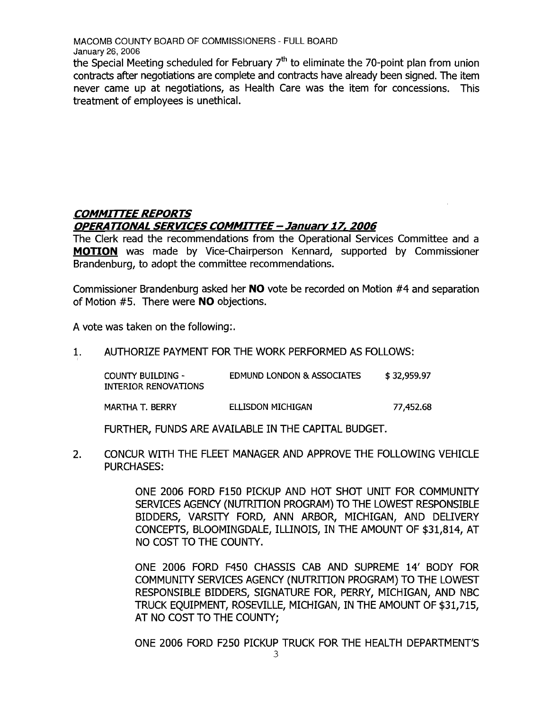the Special Meeting scheduled for February  $7<sup>th</sup>$  to eliminate the 70-point plan from union contracts after negotiations are complete and contracts have already been signed. The item never came up at negotiations, as Health Care was the item for concessions. This treatment of employees is unethical.

## **COMMITTEE REPORTS OPERA TIONAL SERVICES COMMITTEE - January 17, 2006**

The Clerk read the recommendations from the Operational Services Committee and a **MOTION** was made by Vice-Chairperson Kennard, supported by Commissioner Brandenburg, to adopt the committee recommendations.

Commissioner Brandenburg asked her **NO** vote be recorded on Motion #4 and separation of Motion #5. There were **NO** objections.

A vote was taken on the following:.

1. AUTHORIZE PAYMENT FOR THE WORK PERFORMED AS FOLLOWS:

| COUNTY BUILDING -<br>INTERIOR RENOVATIONS | EDMUND LONDON & ASSOCIATES | \$32,959.97 |
|-------------------------------------------|----------------------------|-------------|
| MARTHA T. BERRY                           | ELLISDON MICHIGAN          | 77,452.68   |

FURTHER, FUNDS ARE AVAILABLE IN THE CAPITAL BUDGET.

2. CONCUR WITH THE FLEET MANAGER AND APPROVE THE FOLLOWING VEHICLE PURCHASES:

> ONE 2006 FORD F150 PICKUP AND HOT SHOT UNIT FOR COMMUNITY SERVICES AGENCY (NUTRITION PROGRAM) TO THE LOWEST RESPONSIBLE BIDDERS, VARSITY FORD, ANN ARBOR, MICHIGAN, AND DELIVERY CONCEPTS, BLOOMINGDALE, ILLINOIS, IN THE AMOUNT OF \$31,814, AT NO COST TO THE COUNTY.

> ONE 2006 FORD F450 CHASSIS CAB AND SUPREME 14' BODY FOR COMMUNITY SERVICES AGENCY (NUTRITION PROGRAM) TO THE LOWEST RESPONSIBLE BIDDERS, SIGNATURE FOR, PERRY, MICHIGAN, AND NBC TRUCK EQUIPMENT, ROSEVILLE, MICHIGAN, IN THE AMOUNT OF \$31,715, AT NO COST TO THE COUNTY;

> ONE 2006 FORD F250 PICKUP TRUCK FOR THE HEALTH DEPARTMENTS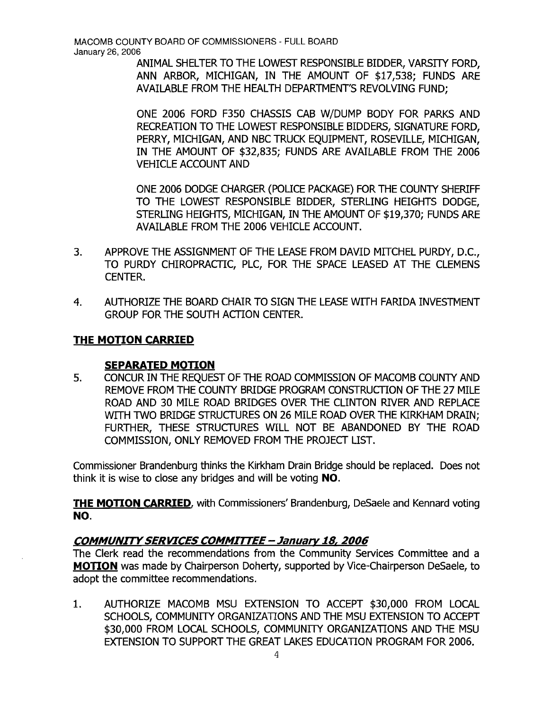ANIMAL SHELTER TO THE LOWEST RESPONSIBLE BIDDER, VARSTIY FORD, ANN ARBOR, MICHIGAN, IN THE AMOUNT OF \$17,538; FUNDS ARE AVAILABLE FROM THE HEALTH DEPARTMENTS REVOLVING FUND;

ONE 2006 FORD F350 CHASSIS CAB WjDUMP BODY FOR PARKS AND RECREATION TO THE LOWEST RESPONSIBLE BIDDERS, SIGNATURE FORD, PERRY, MICHIGAN, AND NBC TRUCK EQUIPMENT, ROSEVILLE, MICHIGAN, IN THE AMOUNT OF \$32,835; FUNDS ARE AVAILABLE FROM THE 2006 VEHICLE ACCOUNT AND

ONE 2006 DODGE CHARGER (POLICE PACKAGE) FOR THE COUNTY SHERIFF TO THE LOWEST RESPONSIBLE BIDDER, STERLING HEIGHTS DODGE, STERLING HEIGHTS, MICHIGAN, IN THE AMOUNT OF \$19,370; FUNDS ARE AVAILABLE FROM THE 2006 VEHICLE ACCOUNT.

- 3. APPROVE THE ASSIGNMENT OF THE LEASE FROM DAVID MITCHEL PURDY, D.C., TO PURDY CHIROPRACTIC, PLC, FOR THE SPACE LEASED AT THE CLEMENS CENTER.
- 4. AUTHORIZE THE BOARD CHAIR TO SIGN THE LEASE WITH FARIDA INVESTMENT GROUP FOR THE SOUTH ACTION CENTER.

## **THE MOTION CARRIED**

### **SEPARATED MOTION**

5. CONCUR IN THE REQUEST OF THE ROAD COMMISSION OF MACOMB COUNTY AND REMOVE FROM THE COUNTY BRIDGE PROGRAM CONSTRUCTION OF THE 27 MILE ROAD AND 30 MILE ROAD BR[DGES OVER THE CLINTON RIVER AND REPLACE WITH TWO BRIDGE STRUCTURES ON 26 MILE ROAD OVER THE KIRKHAM DRAIN; FURTHER, THESE STRUCTURES WILL NOT BE ABANDONED BY THE ROAD COMMISSION, ONLY REMOVED FROM THE PROJECT LIST.

Commissioner Brandenburg thinks the Kirkham Drain Bridge should be replaced. Does not think it is wise to close any bridges and will be voting NO.

**THE MOTION CARRIED,** with Commissioners' Brandenburg, DeSaele and Kennard voting NO.

## COMMUNITY SERVICES COMMITTEE - January 18, 2006

The Clerk read the recommendations from the Community Services Committee and a **MOTION** was made by Chairperson Doherty, supported by Vice-Chairperson DeSaele, to adopt the committee recommendations.

1. AUTHORIZE MACOMB MSU EXTENSION TO ACCEPT \$30,000 FROM LOCAL SCHOOLS, COMMUNTIY ORGANIZATIONS AND THE MSU EXTENSION TO ACCEPT \$30,000 FROM LOCAL SCHOOLS, COMMUNITY ORGANIZATIONS AND THE MSU EXTENSION TO SUPPORT THE GREAT LAKES EDUCATION PROGRAM FOR 2006.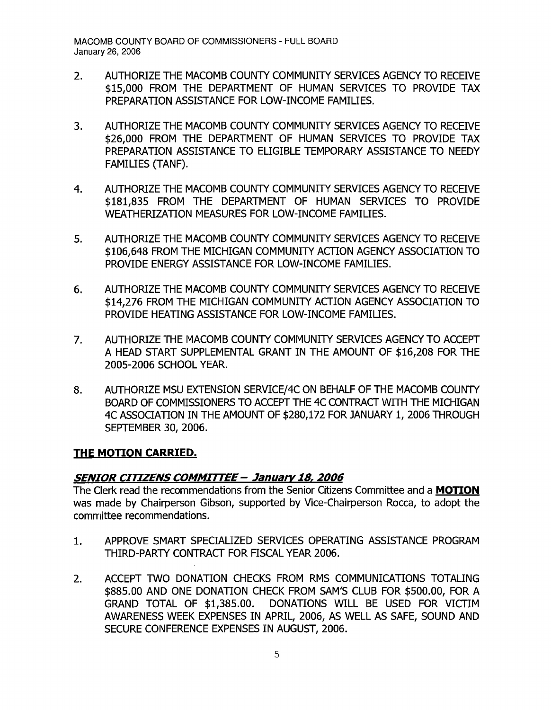- 2. AUTHORIZE THE MACOMB COUNTY COMMUNITY SERVICES AGENCY TO RECEIVE \$15,000 FROM THE DEPARTMENT OF HUMAN SERVICES TO PROVIDE TAX PREPARATION ASSISTANCE FOR LOW-INCOME FAMILIES.
- 3. AUTHORIZE THE MACOMB COUNTY COMMUNITY SERVICES AGENCY TO RECEIVE \$26,000 FROM THE DEPARTMENT OF HUMAN SERVICES TO PROVIDE TAX PREPARATION ASSISTANCE TO ELIGIBLE TEMPORARY ASSISTANCE TO NEEDY FAMILIES (TANF).
- 4. AUTHORIZE THE MACOMB COUNTY COMMUNITY SERVICES AGENCY TO RECEIVE \$181,835 FROM THE DEPARTMENT OF HUMAN SERVICES TO PROVIDE WEATHERIZATION MEASURES FOR LOW-INCOME FAMILIES.
- 5. AUTHORIZE THE MACOMB COUNTY COMMUNITY SERVICES AGENCY TO RECEIVE \$106,648 FROM THE MICHIGAN COMMUNTIY ACTION AGENCY ASSOCIATION TO PROVIDE ENERGY ASSISTANCE FOR LOW-INCOME FAMILIES.
- 6. AUTHORIZE THE MACOMB COUNTY COMMUNITY SERVICES AGENCY TO RECEIVE \$14,276 FROM THE MICHIGAN COMMUNITY ACTION AGENCY ASSOCIATION TO PROVIDE HEATING ASSISTANCE FOR LOW-INCOME FAMILIES.
- 7. AUTHORIZE THE MACOMB COUNTY COMMUNITY SERVICES AGENCY TO ACCEPT A HEAD START SUPPLEMENTAL GRANT IN THE AMOUNT OF \$16,208 FOR THE 2005-2006 SCHOOL YEAR.
- 8. AUTHORIZE MSU EXTENSION SERVICE/4C ON BEHALF OF THE MACOMB COUNTY BOARD OF COMMISSIONERS TO ACCEPT THE 4C CONTRACT WITH THE MICHIGAN 4C ASSOCIATION IN THE AMOUNT OF \$280,172 FOR JANUARY 1, 2006 THROUGH SEPTEMBER 30, 2006.

## **THE MOTION CARRIED.**

## *SENIOR CITIZENS COMMIrrEE* **- January 18,** *2006*

The Clerk read the recommendations from the Senior Citizens Committee and a **MOTION**  was made by Chairperson Gibson, supported by Vice-Chairperson Rocca, to adopt the committee recommendations.

- 1. APPROVE SMART SPECIALIZED SERVICES OPERATING ASSISTANCE PROGRAM THIRD-PARTY CONTRACT FOR FISCAL YEAR 2006.
- 2. ACCEPT TWO DONATION CHECKS FROM RMS COMMUNICATIONS TOTALING \$885.00 AND ONE DONATION CHECK FROM SAM'S CLUB FOR \$500.00, FOR A GRAND TOTAL OF \$1,385.00. DONATIONS WILL BE USED FOR VICTIM AWARENESS WEEK EXPENSES IN APRIL, 2006, AS WELL AS SAFE, SOUND AND SECURE CONFERENCE EXPENSES IN AUGUST, 2006.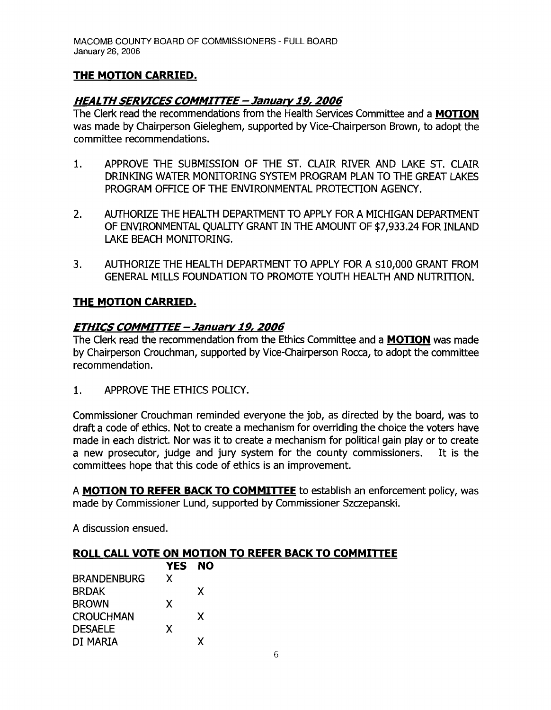# **THE MOTION CARRIED.**

## **HEALTH SERVICES COMMITTEE - January 19, 2006**

The Clerk read the recommendations from the Health Services Committee and a **MOTION**  was made by Chairperson Gieleghem, supported by Vice-Chairperson Brown, to adopt the committee recommendations.

- 1. APPROVE THE SUBMISSION OF THE ST. CLAIR RIVER AND LAKE ST. CLAIR DRINKING WATER MONITORING SYSTEM PROGRAM PLAN TO THE GREAT LAKES PROGRAM OFFICE OF THE ENVIRONMENTAL PROTECTION AGENCY.
- 2. AUTHORIZE THE HEALTH DEPARTMENT TO APPLY FOR A MICHIGAN DEPARTMENT OF ENVIRONMENTAL QUAUTY GRANT IN THE AMOUNT OF \$7,933.24 FOR INLAND LAKE BEACH MONITORING.
- 3. AUTHORIZE THE HEALTH DEPARTMENT TO APPLY FOR A \$10,000 GRANT FROM GENERAL MILLS FOUNDATION TO PROMOTE YOUTH HEALTH AND NUTRITION.

## **THE MOTION CARRIED.**

## **ETHICS COMMITTEE - January 19, 2006**

The Clerk read the recommendation from the Ethics Committee and a **MOTION** was made by Chairperson Crouchman, supported by Vice-Chairperson Rocca, to adopt the committee recommendation.

1. APPROVE THE ETHICS POLICY.

Commissioner Crouchman reminded everyone the job, as directed by the board, was to draft a code of ethics. Not to create a mechanism for overriding the choice the voters have made in each district. Nor was it to create a mechanism for political gain play or to create a new prosecutor, judge and jury system for the county commissioners. It is the committees hope that this code of ethics is an improvement.

A **MOTION TO REFER BACK TO COMMITTEE** to establish an enforcement policy, was made by Commissioner Lund, supported by Commissioner Szczepanski.

A discussion ensued.

## **ROLL CALL VOTE ON MOTION TO REFER BACK TO COMMITTEE**

|                    | <b>YES</b> | <b>NO</b> |
|--------------------|------------|-----------|
| <b>BRANDENBURG</b> | X          |           |
| <b>BRDAK</b>       |            | X         |
| <b>BROWN</b>       | X          |           |
| <b>CROUCHMAN</b>   |            | X         |
| <b>DESAELE</b>     | X          |           |
| DI MARIA           |            |           |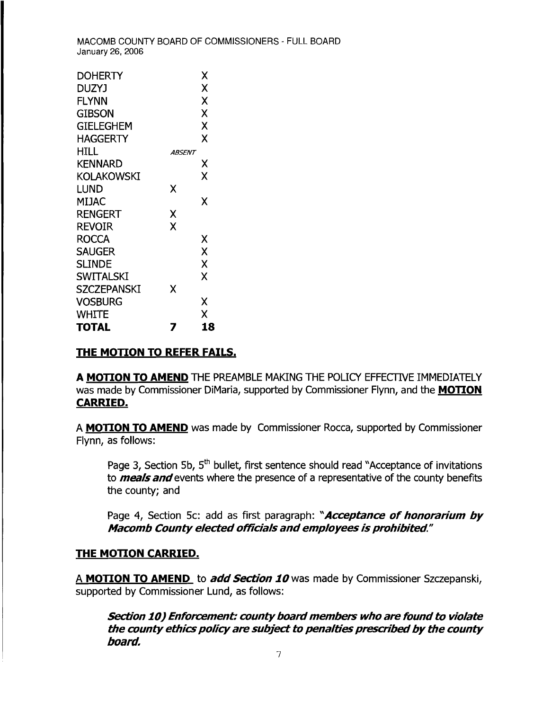| <b>DOHERTY</b>     |        | Χ  |
|--------------------|--------|----|
| DUZYJ              |        | Χ  |
| <b>FLYNN</b>       |        | X  |
| GIBSON             |        | X  |
| GIELEGHEM          |        | X  |
| <b>HAGGERTY</b>    |        | Χ  |
|                    |        |    |
| HILL               | ABSENT |    |
| <b>KENNARD</b>     |        | Х  |
| KOLAKOWSKI         |        | X  |
| lund               | χ      |    |
| MIJAC              |        | x  |
| RENGERT            | Х      |    |
| REVOIR             | X      |    |
| ROCCA              |        | Χ  |
| <b>SAUGER</b>      |        | X  |
| <b>SLINDE</b>      |        | X  |
| <b>SWITALSKI</b>   |        | x  |
| <b>SZCZEPANSKI</b> | X      |    |
| Vosburg            |        | Χ  |
| <b>WHITE</b>       |        | χ  |
| TOTAL              |        | 18 |

#### **THE MOTION TO REFER FAILS.**

A MOTION TO AMEND THE PREAMBLE MAKING THE POLICY EFFECTIVE IMMEDIATELY was made by Commissioner DiMaria, supported by Commissioner Flynn, and the **MOTION CARRIED.** 

A **MOTION TO AMEND** was made by Commissioner Rocca/ supported by Commissioner Flynn, as follows:

Page 3, Section 5b, 5<sup>th</sup> bullet, first sentence should read "Acceptance of invitations to **meals and**events where the presence of a representative of the county benefits the county; and

Page 4, Section 5c: add as first paragraph: "**Acceptance of honorarium by Macomb County elected officials andemployees is prohibited"** 

#### **THE MOTION CARRIED.**

A **MOTION TO AMEND** to **add Section 10** was made by Commissioner Szczepanski, supported by Commissioner Lund, as follows:

**section 10) Enforcement: countyboardmembers who are found to violate the county ethics policy are subject to penalties prescribed by the county board.**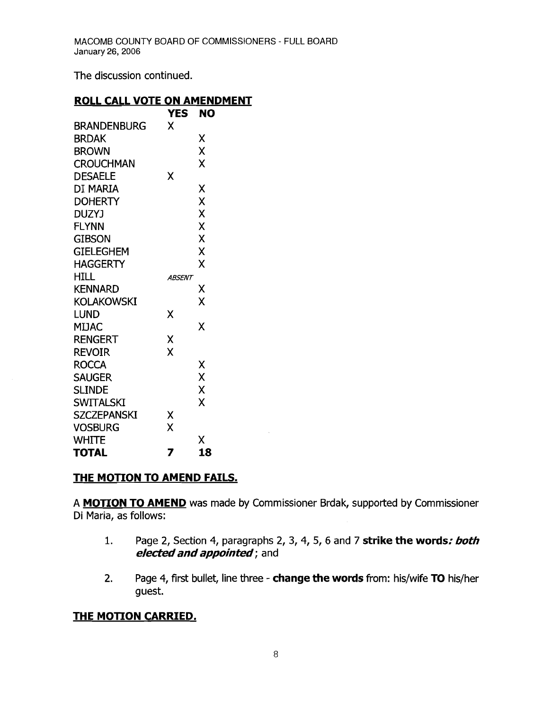The discussion continued.

#### **ROLL CALL VOTE ON AMENDMENT**

|                    | <b>YES</b>    | NO |
|--------------------|---------------|----|
| <b>BRANDENBURG</b> | X             |    |
| <b>BRDAK</b>       |               | Χ  |
| <b>BROWN</b>       |               | X  |
| <b>CROUCHMAN</b>   |               | X  |
| <b>DESAELE</b>     | χ             |    |
| di maria           |               | Χ  |
| <b>DOHERTY</b>     |               | X  |
| <b>DUZYJ</b>       |               | X  |
| FLYNN              |               | X  |
| <b>GIBSON</b>      |               | X  |
| <b>GIELEGHEM</b>   |               | X  |
| HAGGERTY           |               | χ  |
| <b>HILL</b>        | <i>ABSENT</i> |    |
| <b>KENNARD</b>     |               | Χ  |
| KOLAKOWSKI         |               | χ  |
| <b>LUND</b>        | X             |    |
| <b>MIJAC</b>       |               | X  |
| RENGERT            | Χ             |    |
| <b>REVOIR</b>      | X             |    |
| <b>ROCCA</b>       |               | χ  |
| <b>SAUGER</b>      |               | X  |
| <b>SLINDE</b>      |               | X  |
| <b>SWITALSKI</b>   |               | X  |
| <b>SZCZEPANSKI</b> | χ             |    |
| <b>VOSBURG</b>     | X             |    |
| <b>WHITE</b>       |               | Χ  |
| <b>TOTAL</b>       | 7             | 18 |

## **THE MOTION TO AMEND FAILS.**

A **MOTION TO AMEND** was made by Commissioner Brdak, supported by Commissioner Di Maria, as follows:

- 1. Page 2, Section 4, paragraphs 2, 3, 4, 5, 6 and 7 **strike the words: both electedandappointed;** and
- 2. Page 4, first bullet, line three **change the words** from: his/wife **TO** his/her guest.

## **THE MOTION CARRIED.**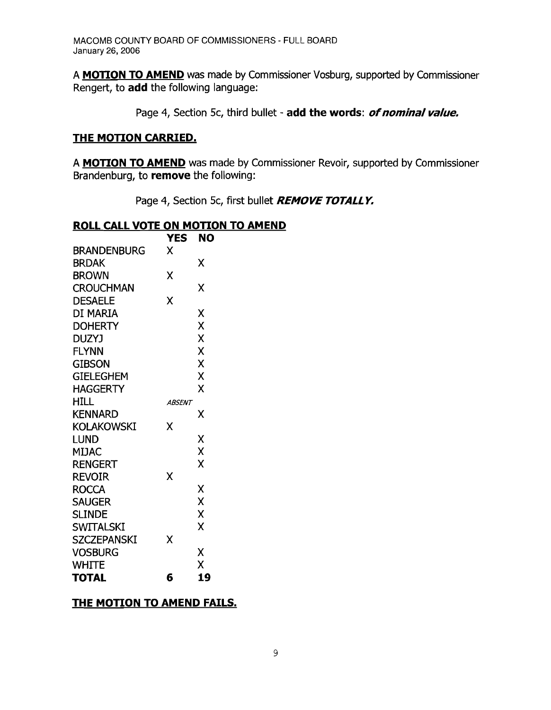A **MOTION TO AMEND** was made by Commissioner Vosburg, supported by Commissioner Rengert, to **add** the following language:

Page 4, Section 5c, third bullet - **add the words:** *of nominal value.* 

### **THE MOTION CARRIED.**

A **MOTION TO AMEND** was made by Commissioner Revoir, supported by Commissioner Brandenburg, to **remove** the following:

Page 4, Section 5c, first bullet **REMOVE TOTALLY.** 

### **ROLL CALL VOTE ON MOTION TO AMEND**

|                    | <b>YES</b>           | NO |
|--------------------|----------------------|----|
| <b>BRANDENBURG</b> | x                    |    |
| <b>BRDAK</b>       |                      | Χ  |
| <b>BROWN</b>       | Χ                    |    |
| <b>CROUCHMAN</b>   |                      | X  |
| <b>DESAELE</b>     | X                    |    |
| DI MARIA           |                      | Χ  |
| <b>DOHERTY</b>     |                      | X  |
| <b>DUZYJ</b>       |                      | X  |
| <b>FLYNN</b>       |                      | X  |
| <b>GIBSON</b>      |                      | Χ  |
| <b>GIELEGHEM</b>   |                      | X  |
| <b>HAGGERTY</b>    |                      | X  |
| <b>HILL</b>        | <i><b>ABSENT</b></i> |    |
| <b>KENNARD</b>     |                      | χ  |
| <b>KOLAKOWSKI</b>  | x                    |    |
| LUND               |                      | Χ  |
| MIJAC              |                      | X  |
| <b>RENGERT</b>     |                      | Χ  |
| <b>REVOIR</b>      | Χ                    |    |
| <b>ROCCA</b>       |                      | χ  |
| <b>SAUGER</b>      |                      | X  |
| <b>SLINDE</b>      |                      | X  |
| <b>SWITALSKI</b>   |                      | Χ  |
| <b>SZCZEPANSKI</b> | Χ                    |    |
| <b>VOSBURG</b>     |                      | Χ  |
| <b>WHITE</b>       |                      | X  |
| TOTAL              | 6                    | 19 |

## **THE MOTION TO AMEND FAILS.**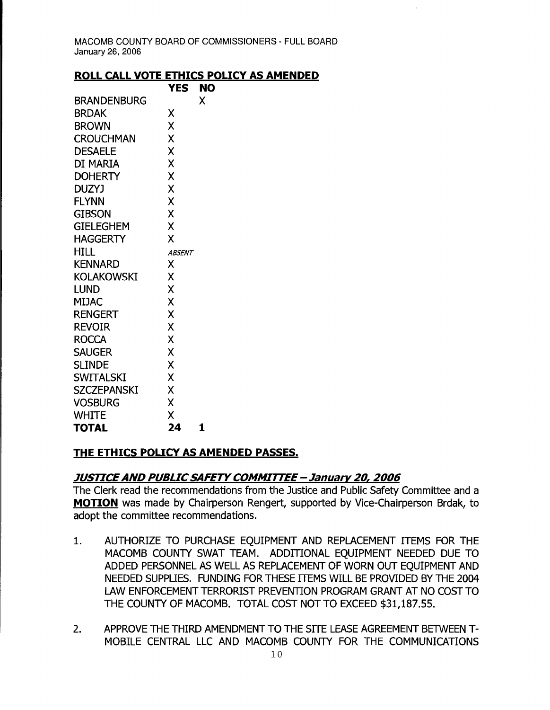### **ROLL CALL VOTE ETHICS POLICY AS AMENDED**

|                    | YES           | NO |
|--------------------|---------------|----|
| <b>BRANDENBURG</b> |               | X  |
| BRDAK              | Χ             |    |
| <b>BROWN</b>       | X             |    |
| <b>CROUCHMAN</b>   | X             |    |
| <b>DESAELE</b>     | X             |    |
| DI MARIA           | X             |    |
| <b>DOHERTY</b>     | X             |    |
| <b>DUZYJ</b>       | X             |    |
| <b>FLYNN</b>       | Χ             |    |
| <b>GIBSON</b>      | X             |    |
| <b>GIELEGHEM</b>   | X             |    |
| <b>HAGGERTY</b>    | X             |    |
| HILL               | <b>ABSENT</b> |    |
| <b>KENNARD</b>     | X             |    |
| <b>KOLAKOWSKI</b>  | Χ             |    |
| LUND               | X             |    |
| <b>MIJAC</b>       | X             |    |
| <b>RENGERT</b>     | X             |    |
| <b>REVOIR</b>      | X             |    |
| <b>ROCCA</b>       | X             |    |
| <b>SAUGER</b>      | Χ             |    |
| <b>SLINDE</b>      | X             |    |
| <b>SWITALSKI</b>   | X             |    |
| <b>SZCZEPANSKI</b> | X             |    |
| <b>VOSBURG</b>     | X             |    |
| <b>WHITE</b>       | X             |    |
| TOTAL              | 24            | 1  |

## **THE ETHICS POLICY AS AMENDED PASSES.**

# **JUSTICE AND PUBLIC SAFETY COMMITTEE - January 20, 2006**

The Clerk read the recommendations from the Justice and Public Safety Committee and a **MOTION** was made by Chairperson Rengert, supported by Vice-Chairperson Brdak, to adopt the committee recommendations.

- 1. AUTHORIZE TO PURCHASE EQUIPMENT AND REPLACEMENT ITEMS FOR THE MACOMB COUNTY SWAT TEAM. ADDITIONAL EQUIPMENT NEEDED DUE TO ADDED PERSONNEL AS WELL AS REPLACEMENT OF WORN OUT EQUIPMENT AND NEEDED SUPPLIES. FUNDING FOR THESE ITEMS WILL BE PROVIDED BY THE 2004 LAW ENFORCEMENT TERRORIST PREVENTION PROGRAM GRANT AT NO COST TO THE COUNTY OF MACOMB. TOTAL COST NOT TO EXCEED \$31,187.55.
- 2. APPROVE THE THIRD AMENDMENT TO THE SITE LEASE AGREEMENT BETWEEN T-MOBILE CENTRAL LLC AND MACOMB COUNTY FOR THE COMMUNICATIONS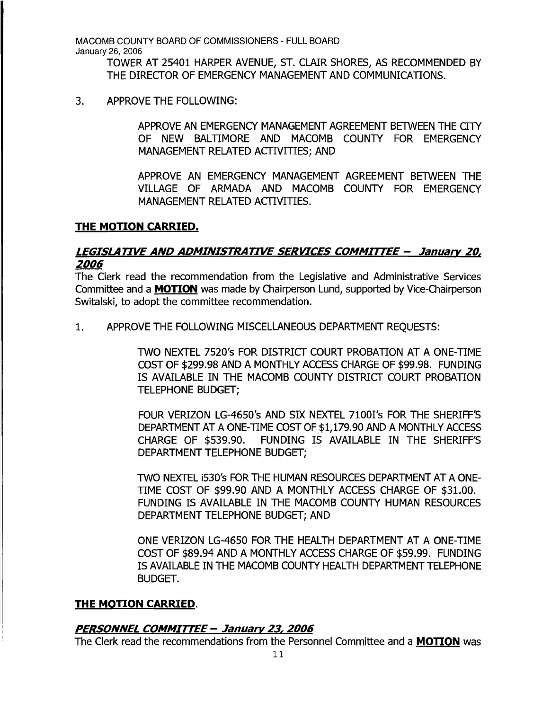> TOWER AT 25401 HARPER AVENUE, ST. CLAIR SHORES, AS RECOMMENDED BY THE DIRECTOR OF EMERGENCY MANAGEMENT AND COMMUNICATIONS.

3. APPROVE THE FOLLOWING:

APPROVE AN EMERGENCY MANAGEMENT AGREEMENT BETWEEN THE CITY OF NEW BALTIMORE AND MACOMB COUNTY FOR EMERGENCY MANAGEMENT RELATED ACTIVITIES: AND

APPROVE AN EMERGENCY MANAGEMENT AGREEMENT BETWEEN THE VILLAGE OF ARMADA AND MACOMB COUNTY FOR EMERGENCY MANAGEMENT RELATED ACTIVITIES.

### THE MOTION CARRIED.

## LEGISLATIVE AND ADMINISTRATIVE SERVICES COMMITTEE - January 20, 2006

The Clerk read the recommendation from the Legislative and Administrative Services Committee and a MOTION was made by Chairperson Lund, supported by Vice-Chairperson Switalski, to adopt the committee recommendation.

1. APPROVE THE FOLLOWING MISCELLANEOUS DEPARTMENT REOUESTS:

TWO NEXTEL 7520's FOR DISTRICT COURT PROBATION AT A ONE-TIME COST OF \$299.98 AND A MONTHLY ACCESS CHARGE OF \$99.98. FUNDING IS AVAILABLE IN THE MACOMB COUNTY DISTRICT COURT PROBATION TELEPHONE BUDGET;

FOUR VERIZON LG-4650's AND SIX NEXTEL 7100I's FOR THE SHERIFF'S DEPARTMENT AT A ONE-TlME COST OF \$1,179.90 AND A MONTHLY ACCESS CHARGE OF \$539.90. FUNDING IS AVAILABLE IN THE SHERIFF'S DEPARTMENT TELEPHONE BUDGET;

TWO NEXTEL 1530's FOR THE HUMAN RESOURCES DEPARTMENT AT A ONE-TIME COST OF \$99.90 AND A MONTHLY ACCESS CHARGE OF \$31.00. FUNDING IS AVAILABLE IN THE MACOMB COUNTY HUMAN RESOURCES DEPARTMENT TELEPHONE BUDGET; AND

ONE VERIZON LG-4650 FOR THE HEALTH DEPARTMENT AT A ONE-TIME COST OF \$89.94 AND A MONTHLY ACCESS CHARGE OF \$59.99. FUNDING IS AVAILABLE IN THE MACOMB COUNTY HEALTH DEPARTMENT TELEPHONE BUDGET.

### THE MOTION CARRIED.

### PERSONNEL COMMITTEE - January 23, 2006

The Clerk read the recommendations from the Personnel Committee and a MOTION was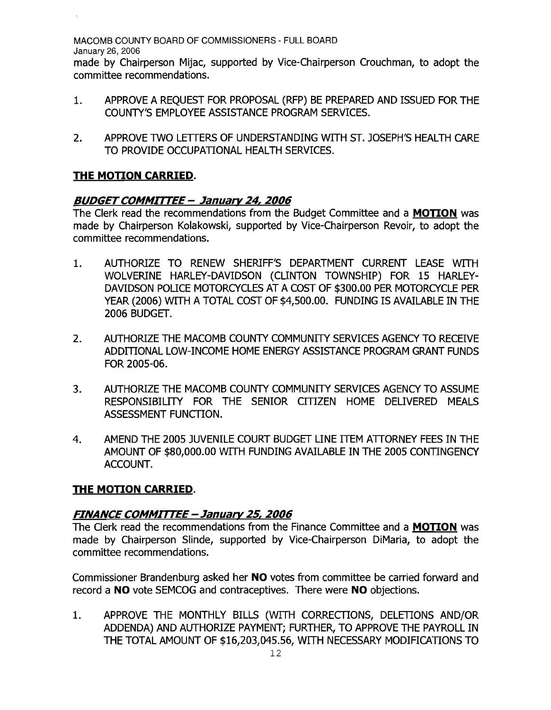made by Chairperson Mijac, supported by Vice-Chairperson Crouchman, to adopt the committee recommendations.

- 1. APPROVE A REQUEST FOR PROPOSAL (RFP) BE PREPARED AND ISSUED FOR THE COUNTY'S EMPLOYEE ASSISTANCE PROGRAM SERVICES.
- 2. APPROVE TWO LETTERS OF UNDERSTANDING WITH ST. JOSEPH'S HEALTH CARE TO PROVIDE OCCUPATIONAL HEALTH SERVICES.

# **THE MOTION CARRIED.**

## **BUDGETCOMMrITEE - January24, 2006**

The Clerk read the recommendations from the Budget Committee and a **MOTION** was made by Chairperson Kolakowski, supported by Vice-Chairperson Revoir, to adopt the committee recommendations.

- 1. AUTHORIZE TO RENEW SHERIFF'S DEPARTMENT CURRENT LEASE WITH WOLVERINE HARLEY-DAVIDSON (CLINTON TOWNSHIP) FOR 15 HARLEY-DAVIDSON POLICE MOTORCYCLES AT A COST OF \$300.00 PER MOTORCYCLE PER YEAR (2006) WITH A TOTAL COST OF \$4,500.00. FUNDING IS AVAILABLE IN THE 2006 BUDGET.
- 2. AUTHORIZE THE MACOMB COUNTY COMMUNITY SERVICES AGENCY TO RECEIVE ADDITIONAL LOW-INCOME HOME ENERGY ASSISTANCE PROGRAM GRANT FUNDS FOR 2005-06.
- 3. AUTHORIZE THE MACOMB COUNTY COMMUNITY SERVICES AGENCY TO ASSUME RESPONSIBILITY FOR THE SENIOR CITIZEN HOME DELIVERED MEALS ASSESSMENT FUNCTION.
- 4. AMEND THE 2005 JUVENILE COURT BUDGET LINE ITEM ATTORINEY FEES IN THE AMOUNT OF \$80,000.00 WITH FUNDING AVAILABLE IN THE 2005 CONTINGENCY ACCOUNT.

## **THE MOTION CARRIED.**

## **FINANCE COMMrITEE - January 25, 2006**

The Clerk read the recommendations from the Finance Committee and a **MOTION** was made by Chairperson Slinde, supported by Vice-Chairperson DiMaria, to adopt the committee recommendations.

Commissioner Brandenburg asked her **NO** votes from committee be carried forward and record a **NO** vote SEMCOG and contraceptives. There were **NO** objections.

1. APPROVE THE MONTHLY BILLS (WITH CORRECTIONS, DELETIONS AND/OR ADDENDA) AND AUTHORIZE PAYMENT; FURTHER, TO APPROVE THE PAYROLL IN THE TOTAL AMOUNT OF \$16,203,045.56, WITH NECESSARY MODIFICATIONS TO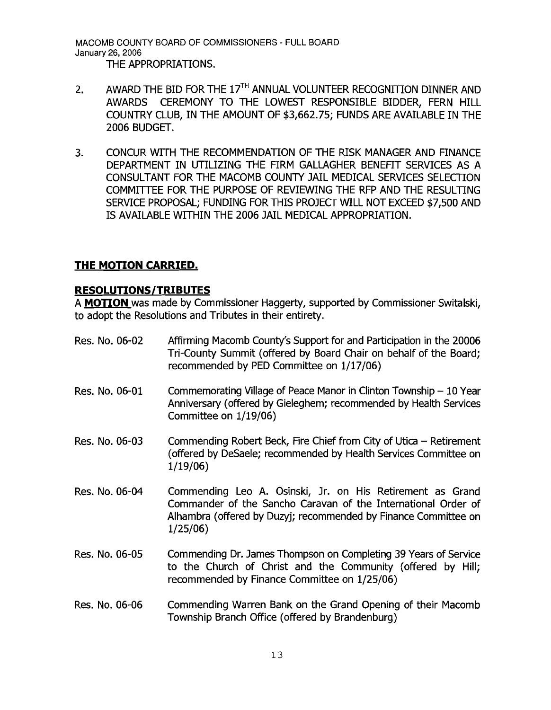MACOMB COUNTY BOARD OF COMMISSIONERS - FULL BOARD January 26, 2006 THE APPROPRIATIONS.

- 2. AWARD THE BID FOR THE 17<sup>TH</sup> ANNUAL VOLUNTEER RECOGNITION DINNER AND AWARDS CEREMONY TO THE LOWEST RESPONSIBLE BIDDER, FERN HILL COUNTRY CLUB, IN THE AMOUNT OF \$3,662.75; FUNDS ARE AVAILABLE IN THE 2006 BUDGET.
- 3. CONCUR WITH THE RECOMMENDATION OF THE RISK MANAGER AND FINANCE DEPARTMENT IN UTILIZING THE FIRM GALLAGHER BENEFIT SERVICES AS A CONSULTANT FOR THE MACOMB COUNTY JAIL MEDICAL SERVICES SELECTION COMMITTEE FOR THE PURPOSE OF REVIEWING THE RFP AND THE RESULTING SERVICE PROPOSAL; FUNDING FOR THIS PROJECT WILL NOT EXCEED \$7,500 AND IS AVAILABLE WITHIN THE 2006 JAIL MEDICAL APPROPRIATION.

# **THE MOTION CARRIED.**

## **RESOLUTIONS/TRIBUTES**

A **MOTION** was made by Commissioner Haggerty, supported by Commissioner Switalski, to adopt the Resolutions and Tributes in their entirety.

Res. No. 06-02 Affirming Macomb County's Support for and Participation in the 20006 Tri-County Summit (offered by Board Chair on behalf of the Board; recommended by PED Committee on 1/17/06) Res. No. 06-01 Commemorating Village of Peace Manor in Clinton Township - 10 Year Anniversary (offered by Gieleghem; recommended by Health Services Committee on 1/19/06) Res. No. 06-03 Commending Robert Beck, Fire Chief from City of Utica - Retirement (offered by DeSaele; recommended by Health Services Committee on 1/19/06) Res. No. 06-04 Commending Leo A. Osinski, Jr. on His Retirement as Grand Commander of the Sancho Caravan of the International Order of Alhambra (offered by Duzyj; recommended by Finance Committee on 1/25/06) Res. No. 06-05 Commending Dr. James Thompson on Completing 39 Years of Service to the Church of Christ and the Community (offered by Hill; recommended by Finance Committee on 1/25/06) Res. No. 06-06 Commending Warren Bank on the Grand Opening of their Macomb Township Branch Office (offered by Brandenburg)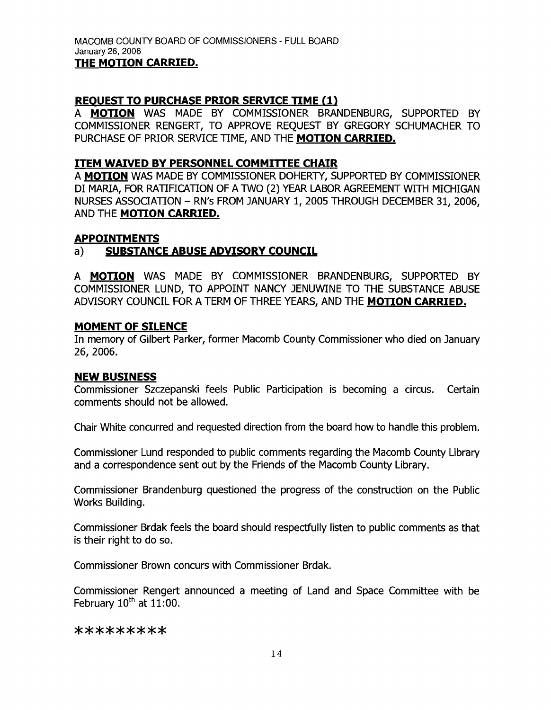### **REQUEST TO PURCHASE PRIOR SERVICE TIME (1)**

A **MOTION** WAS MADE BY COMMISSIONER BRANDENBURG, SUPPORTED BY COMMISSIONER RENGERT, TO APPROVE REQUEST BY GREGORY SCHUMACHER TO PURCHASE OF PRIOR SERVICE TlME, AND THE **MOTION CARRIED.** 

### **ITEM WAIVED BY PERSONNEL COMMITTEE CHAIR**

A **MOTION** WAS MADE BY COMMISSIONER DOHERTY, SUPPORTED BY COMMISSIONER DI MARIA, FOR RATIFICATION OF A TWO (2) YEAR LABOR AGREEMENT WITH MICHIGAN NURSES ASSOCIATION - RN's FROM JANUARY 1, 2005 THROUGH DECEMBER 31, 2006, AND THE **MOTION CARRIED.** 

### **APPOINTMENTS**

## a) **SUBSTANCE ABUSE ADVISORY COUNCIL**

A **MOTION** WAS MADE BY COMMISSIONER BRANDENBURG, SUPPORTED BY COMMISSIONER LUND, TO APPOINT NANCY JENUWINE TO THE SUBSTANCE ABUSE ADVISORY COUNCIL FOR A TERM OF THREE YEARS, AND THE **MOTION CARRIED.** 

### **MOMENT OF SILENCE**

In memory of Gilbert Parker, former Macomb County Commissioner who died on January 26,2006.

### **NEW BUSINESS**

Commissioner Szczepanski feels Public Participation is becoming a circus. Certain comments should not be allowed.

Chair White concurred and requested direction from the board how to handle this problem.

Commissioner Lund responded to public comments regarding the Macomb County Library and a correspondence sent out by the Friends of the Macomb County Library.

Commissioner Brandenburg questioned the progress of the construction on the Public Works Building.

Commissioner Brdak feels the board should respectfully listen to public comments as that is their right to do so.

Commissioner Brown concurs with Commissioner Brdak.

Commissioner Rengert announced a meeting of Land and Space Committee with be February  $10^{th}$  at  $11:00$ .

#### \*\*\*\*\*\*\*\*\*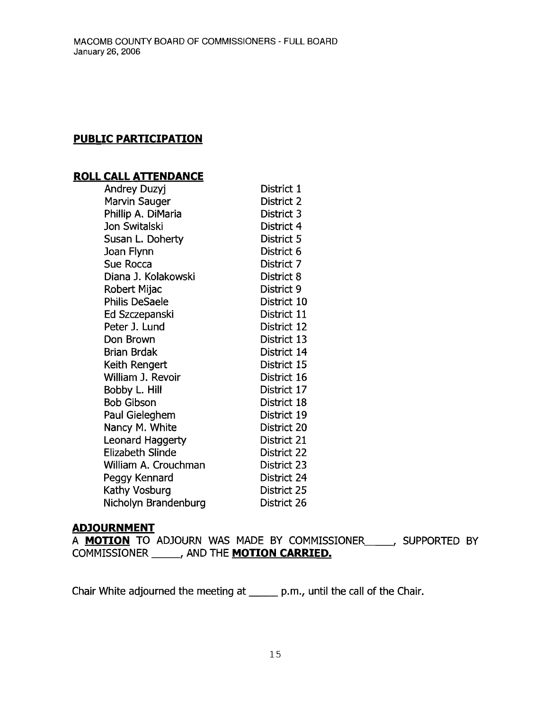# **PUBLIC PARTICIPATION**

## **ROLL CALL ATTENDANCE**

| Andrey Duzyj            | District 1  |
|-------------------------|-------------|
| Marvin Sauger           | District 2  |
| Phillip A. DiMaria      | District 3  |
| Jon Switalski           | District 4  |
| Susan L. Doherty        | District 5  |
| Joan Flynn              | District 6  |
| Sue Rocca               | District 7  |
| Diana J. Kolakowski     | District 8  |
| Robert Mijac            | District 9  |
| <b>Philis DeSaele</b>   | District 10 |
| Ed Szczepanski          | District 11 |
| Peter J. Lund           | District 12 |
| Don Brown               | District 13 |
| Brian Brdak             | District 14 |
| Keith Rengert           | District 15 |
| William J. Revoir       | District 16 |
| Bobby L. Hill           | District 17 |
| <b>Bob Gibson</b>       | District 18 |
| Paul Gieleghem          | District 19 |
| Nancy M. White          | District 20 |
| <b>Leonard Haggerty</b> | District 21 |
| <b>Elizabeth Slinde</b> | District 22 |
| William A. Crouchman    | District 23 |
| Peggy Kennard           | District 24 |
| Kathy Vosburg           | District 25 |
| Nicholyn Brandenburg    | District 26 |

### **ADJOURNMENT**

A **MOTION** TO ADJOURN WAS MADE BY COMMISSIONER, SUPPORTED BY COMMISSIONER , AND THE **MOTION CARRIED.** 

Chair White adjourned the meeting at \_\_\_\_\_ p.m., until the call of the Chair.